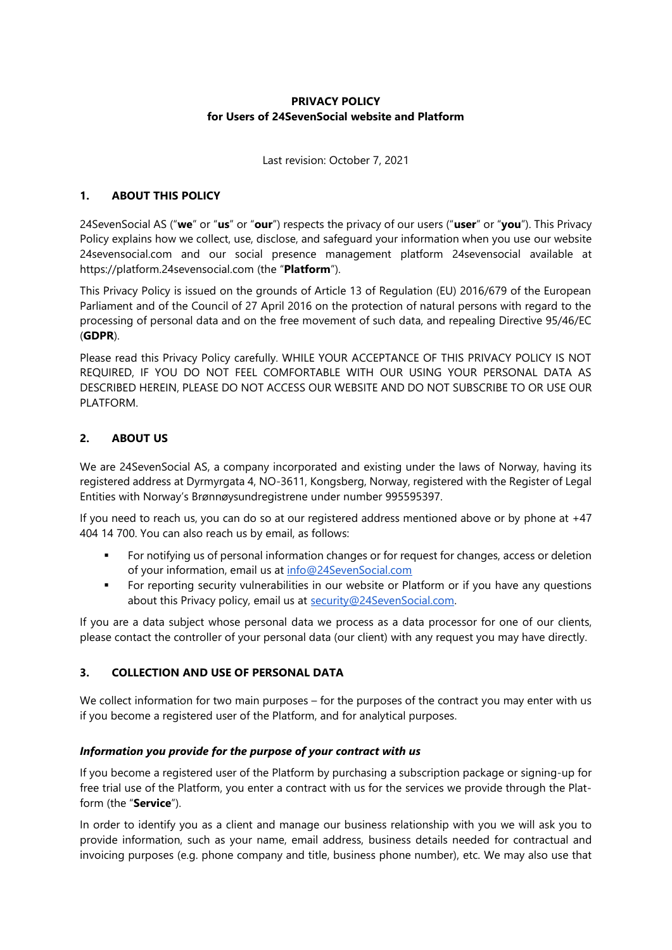# **PRIVACY POLICY for Users of 24SevenSocial website and Platform**

Last revision: October 7, 2021

## **1. ABOUT THIS POLICY**

24SevenSocial AS ("**we**" or "**us**" or "**our**") respects the privacy of our users ("**user**" or "**you**"). This Privacy Policy explains how we collect, use, disclose, and safeguard your information when you use our website 24sevensocial.com and our social presence management platform 24sevensocial available at https://platform.24sevensocial.com (the "**Platform**").

This Privacy Policy is issued on the grounds of Article 13 of Regulation (EU) 2016/679 of the European Parliament and of the Council of 27 April 2016 on the protection of natural persons with regard to the processing of personal data and on the free movement of such data, and repealing Directive 95/46/EC (**GDPR**).

Please read this Privacy Policy carefully. WHILE YOUR ACCEPTANCE OF THIS PRIVACY POLICY IS NOT REQUIRED, IF YOU DO NOT FEEL COMFORTABLE WITH OUR USING YOUR PERSONAL DATA AS DESCRIBED HEREIN, PLEASE DO NOT ACCESS OUR WEBSITE AND DO NOT SUBSCRIBE TO OR USE OUR PLATFORM.

## **2. ABOUT US**

We are 24SevenSocial AS, a company incorporated and existing under the laws of Norway, having its registered address at Dyrmyrgata 4, NO-3611, Kongsberg, Norway, registered with the Register of Legal Entities with Norway's Brønnøysundregistrene under number 995595397.

If you need to reach us, you can do so at our registered address mentioned above or by phone at +47 404 14 700. You can also reach us by email, as follows:

- For notifying us of personal information changes or for request for changes, access or deletion of your information, email us at [info@24SevenSocial.com](mailto:info@24sevensocial.com)
- **•** For reporting security vulnerabilities in our website or Platform or if you have any questions about this Privacy policy, email us at [security@24SevenSocial.com.](mailto:security@fanbooster.com)

If you are a data subject whose personal data we process as a data processor for one of our clients, please contact the controller of your personal data (our client) with any request you may have directly.

#### **3. COLLECTION AND USE OF PERSONAL DATA**

We collect information for two main purposes – for the purposes of the contract you may enter with us if you become a registered user of the Platform, and for analytical purposes.

#### *Information you provide for the purpose of your contract with us*

If you become a registered user of the Platform by purchasing a subscription package or signing-up for free trial use of the Platform, you enter a contract with us for the services we provide through the Platform (the "**Service**").

In order to identify you as a client and manage our business relationship with you we will ask you to provide information, such as your name, email address, business details needed for contractual and invoicing purposes (e.g. phone company and title, business phone number), etc. We may also use that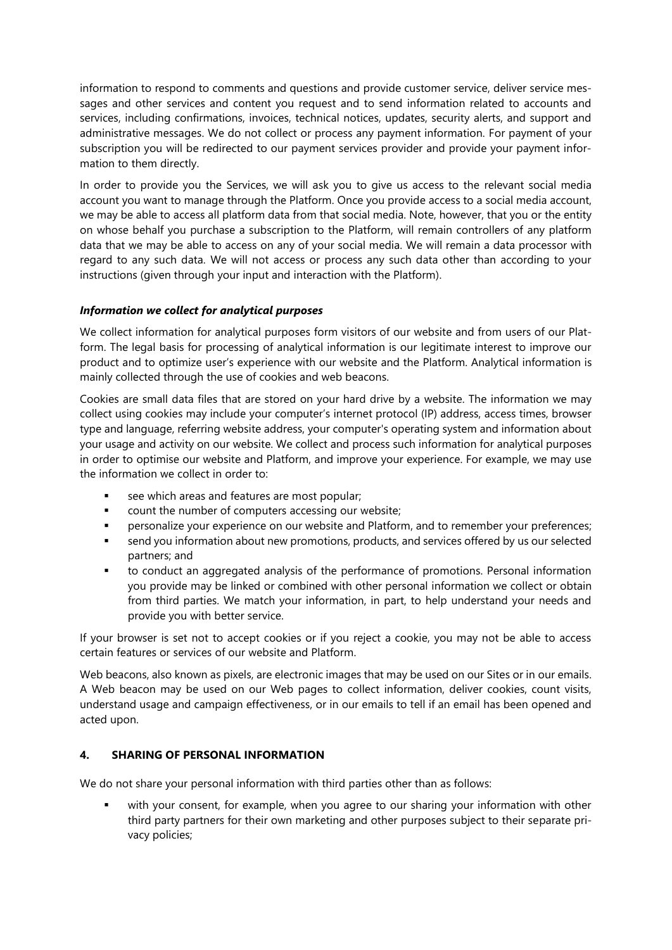information to respond to comments and questions and provide customer service, deliver service messages and other services and content you request and to send information related to accounts and services, including confirmations, invoices, technical notices, updates, security alerts, and support and administrative messages. We do not collect or process any payment information. For payment of your subscription you will be redirected to our payment services provider and provide your payment information to them directly.

In order to provide you the Services, we will ask you to give us access to the relevant social media account you want to manage through the Platform. Once you provide access to a social media account, we may be able to access all platform data from that social media. Note, however, that you or the entity on whose behalf you purchase a subscription to the Platform, will remain controllers of any platform data that we may be able to access on any of your social media. We will remain a data processor with regard to any such data. We will not access or process any such data other than according to your instructions (given through your input and interaction with the Platform).

## *Information we collect for analytical purposes*

We collect information for analytical purposes form visitors of our website and from users of our Platform. The legal basis for processing of analytical information is our legitimate interest to improve our product and to optimize user's experience with our website and the Platform. Analytical information is mainly collected through the use of cookies and web beacons.

Cookies are small data files that are stored on your hard drive by a website. The information we may collect using cookies may include your computer's internet protocol (IP) address, access times, browser type and language, referring website address, your computer's operating system and information about your usage and activity on our website. We collect and process such information for analytical purposes in order to optimise our website and Platform, and improve your experience. For example, we may use the information we collect in order to:

- see which areas and features are most popular;
- count the number of computers accessing our website;
- personalize your experience on our website and Platform, and to remember your preferences;
- send you information about new promotions, products, and services offered by us our selected partners; and
- to conduct an aggregated analysis of the performance of promotions. Personal information you provide may be linked or combined with other personal information we collect or obtain from third parties. We match your information, in part, to help understand your needs and provide you with better service.

If your browser is set not to accept cookies or if you reject a cookie, you may not be able to access certain features or services of our website and Platform.

Web beacons, also known as pixels, are electronic images that may be used on our Sites or in our emails. A Web beacon may be used on our Web pages to collect information, deliver cookies, count visits, understand usage and campaign effectiveness, or in our emails to tell if an email has been opened and acted upon.

#### **4. SHARING OF PERSONAL INFORMATION**

We do not share your personal information with third parties other than as follows:

with your consent, for example, when you agree to our sharing your information with other third party partners for their own marketing and other purposes subject to their separate privacy policies;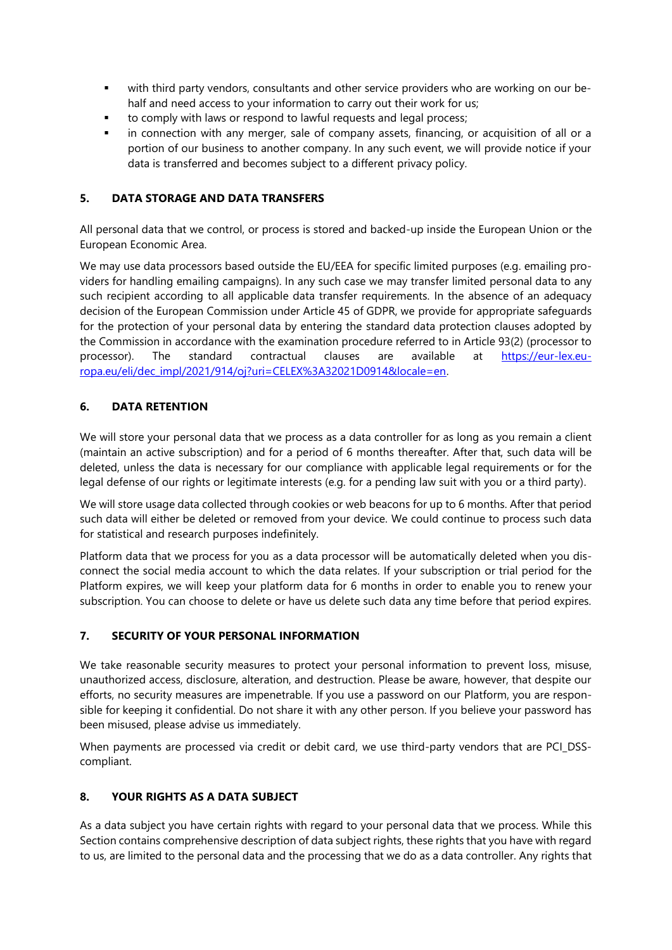- with third party vendors, consultants and other service providers who are working on our behalf and need access to your information to carry out their work for us;
- to comply with laws or respond to lawful requests and legal process;
- in connection with any merger, sale of company assets, financing, or acquisition of all or a portion of our business to another company. In any such event, we will provide notice if your data is transferred and becomes subject to a different privacy policy.

## **5. DATA STORAGE AND DATA TRANSFERS**

All personal data that we control, or process is stored and backed-up inside the European Union or the European Economic Area.

We may use data processors based outside the EU/EEA for specific limited purposes (e.g. emailing providers for handling emailing campaigns). In any such case we may transfer limited personal data to any such recipient according to all applicable data transfer requirements. In the absence of an adequacy decision of the European Commission under Article 45 of GDPR, we provide for appropriate safeguards for the protection of your personal data by entering the standard data protection clauses adopted by the Commission in accordance with the examination procedure referred to in Article 93(2) (processor to processor). The standard contractual clauses are available at [https://eur-lex.eu](https://eur-lex.europa.eu/eli/dec_impl/2021/914/oj?uri=CELEX%3A32021D0914&locale=en)[ropa.eu/eli/dec\\_impl/2021/914/oj?uri=CELEX%3A32021D0914&locale=en.](https://eur-lex.europa.eu/eli/dec_impl/2021/914/oj?uri=CELEX%3A32021D0914&locale=en)

# **6. DATA RETENTION**

We will store your personal data that we process as a data controller for as long as you remain a client (maintain an active subscription) and for a period of 6 months thereafter. After that, such data will be deleted, unless the data is necessary for our compliance with applicable legal requirements or for the legal defense of our rights or legitimate interests (e.g. for a pending law suit with you or a third party).

We will store usage data collected through cookies or web beacons for up to 6 months. After that period such data will either be deleted or removed from your device. We could continue to process such data for statistical and research purposes indefinitely.

Platform data that we process for you as a data processor will be automatically deleted when you disconnect the social media account to which the data relates. If your subscription or trial period for the Platform expires, we will keep your platform data for 6 months in order to enable you to renew your subscription. You can choose to delete or have us delete such data any time before that period expires.

## **7. SECURITY OF YOUR PERSONAL INFORMATION**

We take reasonable security measures to protect your personal information to prevent loss, misuse, unauthorized access, disclosure, alteration, and destruction. Please be aware, however, that despite our efforts, no security measures are impenetrable. If you use a password on our Platform, you are responsible for keeping it confidential. Do not share it with any other person. If you believe your password has been misused, please advise us immediately.

When payments are processed via credit or debit card, we use third-party vendors that are PCI DSScompliant.

## **8. YOUR RIGHTS AS A DATA SUBJECT**

As a data subject you have certain rights with regard to your personal data that we process. While this Section contains comprehensive description of data subject rights, these rights that you have with regard to us, are limited to the personal data and the processing that we do as a data controller. Any rights that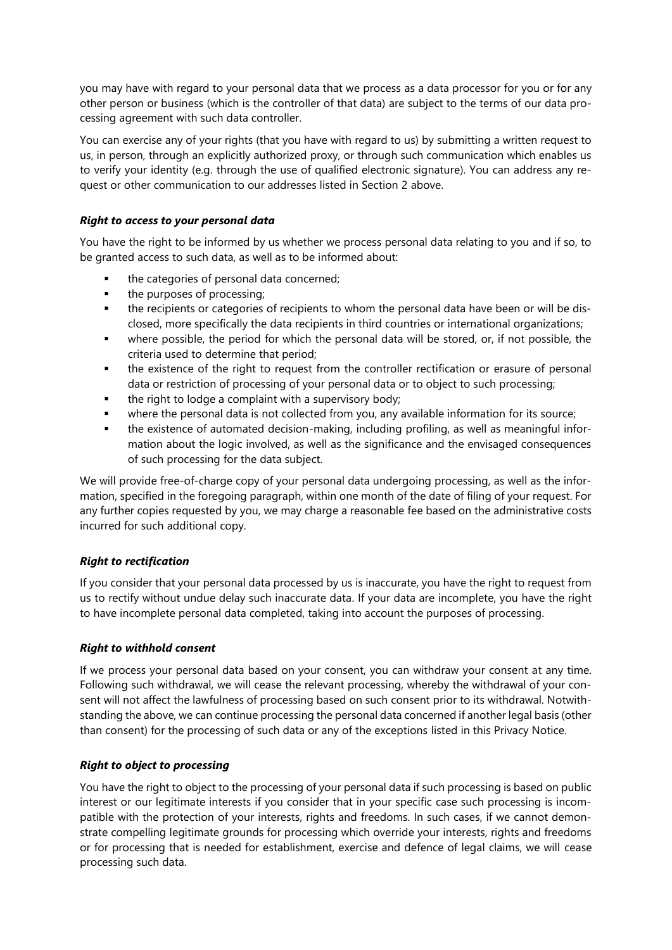you may have with regard to your personal data that we process as a data processor for you or for any other person or business (which is the controller of that data) are subject to the terms of our data processing agreement with such data controller.

You can exercise any of your rights (that you have with regard to us) by submitting a written request to us, in person, through an explicitly authorized proxy, or through such communication which enables us to verify your identity (e.g. through the use of qualified electronic signature). You can address any request or other communication to our addresses listed in Section 2 above.

#### *Right to access to your personal data*

You have the right to be informed by us whether we process personal data relating to you and if so, to be granted access to such data, as well as to be informed about:

- the categories of personal data concerned;
- the purposes of processing;
- the recipients or categories of recipients to whom the personal data have been or will be disclosed, more specifically the data recipients in third countries or international organizations;
- where possible, the period for which the personal data will be stored, or, if not possible, the criteria used to determine that period;
- the existence of the right to request from the controller rectification or erasure of personal data or restriction of processing of your personal data or to object to such processing;
- the right to lodge a complaint with a supervisory body;
- where the personal data is not collected from you, any available information for its source;
- the existence of automated decision-making, including profiling, as well as meaningful information about the logic involved, as well as the significance and the envisaged consequences of such processing for the data subject.

We will provide free-of-charge copy of your personal data undergoing processing, as well as the information, specified in the foregoing paragraph, within one month of the date of filing of your request. For any further copies requested by you, we may charge a reasonable fee based on the administrative costs incurred for such additional copy.

## *Right to rectification*

If you consider that your personal data processed by us is inaccurate, you have the right to request from us to rectify without undue delay such inaccurate data. If your data are incomplete, you have the right to have incomplete personal data completed, taking into account the purposes of processing.

#### *Right to withhold consent*

If we process your personal data based on your consent, you can withdraw your consent at any time. Following such withdrawal, we will cease the relevant processing, whereby the withdrawal of your consent will not affect the lawfulness of processing based on such consent prior to its withdrawal. Notwithstanding the above, we can continue processing the personal data concerned if another legal basis (other than consent) for the processing of such data or any of the exceptions listed in this Privacy Notice.

#### *Right to object to processing*

You have the right to object to the processing of your personal data if such processing is based on public interest or our legitimate interests if you consider that in your specific case such processing is incompatible with the protection of your interests, rights and freedoms. In such cases, if we cannot demonstrate compelling legitimate grounds for processing which override your interests, rights and freedoms or for processing that is needed for establishment, exercise and defence of legal claims, we will cease processing such data.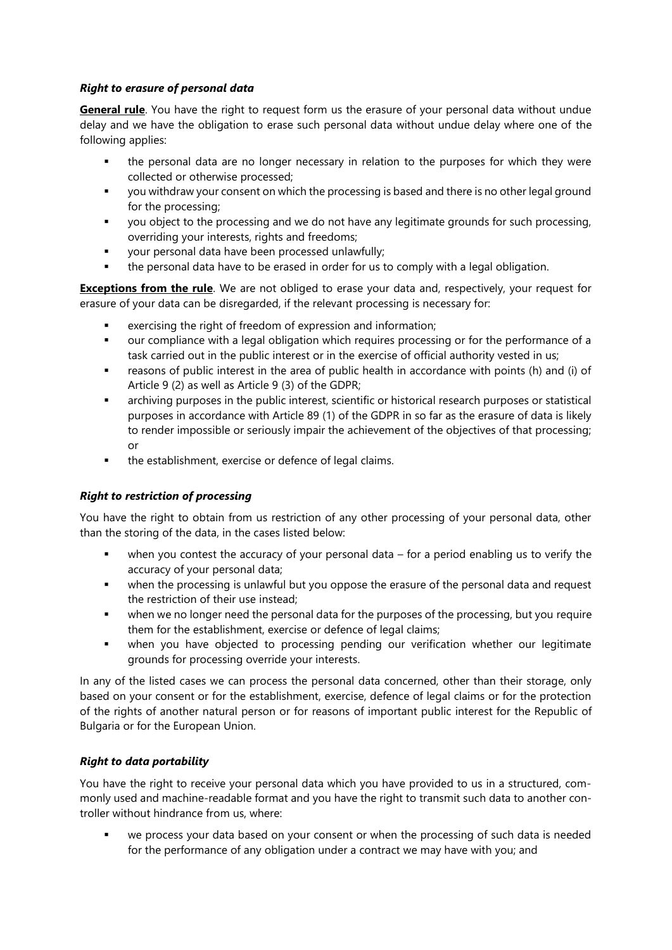## *Right to erasure of personal data*

**General rule**. You have the right to request form us the erasure of your personal data without undue delay and we have the obligation to erase such personal data without undue delay where one of the following applies:

- the personal data are no longer necessary in relation to the purposes for which they were collected or otherwise processed;
- you withdraw your consent on which the processing is based and there is no other legal ground for the processing;
- you object to the processing and we do not have any legitimate grounds for such processing, overriding your interests, rights and freedoms;
- your personal data have been processed unlawfully;
- the personal data have to be erased in order for us to comply with a legal obligation.

**Exceptions from the rule**. We are not obliged to erase your data and, respectively, your request for erasure of your data can be disregarded, if the relevant processing is necessary for:

- exercising the right of freedom of expression and information;
- our compliance with a legal obligation which requires processing or for the performance of a task carried out in the public interest or in the exercise of official authority vested in us;
- reasons of public interest in the area of public health in accordance with points (h) and (i) of Article 9 (2) as well as Article 9 (3) of the GDPR;
- archiving purposes in the public interest, scientific or historical research purposes or statistical purposes in accordance with Article 89 (1) of the GDPR in so far as the erasure of data is likely to render impossible or seriously impair the achievement of the objectives of that processing; or
- the establishment, exercise or defence of legal claims.

#### *Right to restriction of processing*

You have the right to obtain from us restriction of any other processing of your personal data, other than the storing of the data, in the cases listed below:

- when you contest the accuracy of your personal data  $-$  for a period enabling us to verify the accuracy of your personal data;
- when the processing is unlawful but you oppose the erasure of the personal data and request the restriction of their use instead;
- when we no longer need the personal data for the purposes of the processing, but you require them for the establishment, exercise or defence of legal claims;
- when you have objected to processing pending our verification whether our legitimate grounds for processing override your interests.

In any of the listed cases we can process the personal data concerned, other than their storage, only based on your consent or for the establishment, exercise, defence of legal claims or for the protection of the rights of another natural person or for reasons of important public interest for the Republic of Bulgaria or for the European Union.

## *Right to data portability*

You have the right to receive your personal data which you have provided to us in a structured, commonly used and machine-readable format and you have the right to transmit such data to another controller without hindrance from us, where:

we process your data based on your consent or when the processing of such data is needed for the performance of any obligation under a contract we may have with you; and